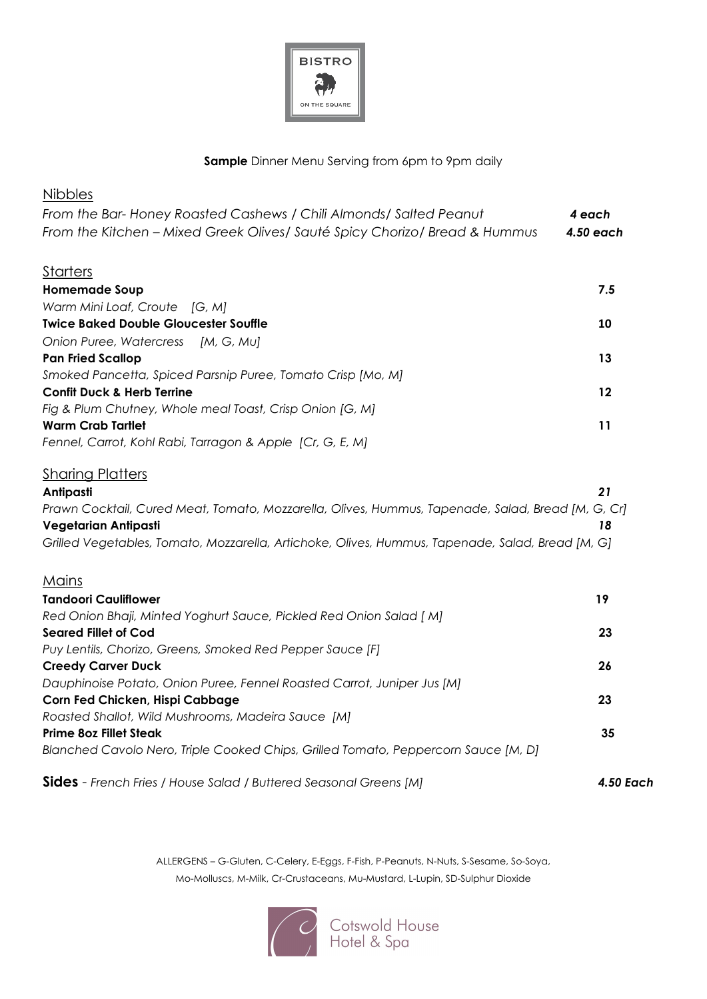

#### **Sample** Dinner Menu Serving from 6pm to 9pm daily

| <b>Nibbles</b>                                                                                    |                  |
|---------------------------------------------------------------------------------------------------|------------------|
| From the Bar-Honey Roasted Cashews / Chili Almonds/ Salted Peanut                                 | 4 each           |
| From the Kitchen - Mixed Greek Olives/ Sauté Spicy Chorizo/ Bread & Hummus                        | 4.50 each        |
| <u>Starters</u>                                                                                   |                  |
| <b>Homemade Soup</b>                                                                              | 7.5              |
| Warm Mini Loaf, Croute [G, M]                                                                     |                  |
| <b>Twice Baked Double Gloucester Souffle</b>                                                      | 10               |
| Onion Puree, Watercress [M, G, Mu]                                                                |                  |
| <b>Pan Fried Scallop</b>                                                                          | 13               |
| Smoked Pancetta, Spiced Parsnip Puree, Tomato Crisp [Mo, M]                                       |                  |
| <b>Confit Duck &amp; Herb Terrine</b>                                                             | 12               |
| Fig & Plum Chutney, Whole meal Toast, Crisp Onion [G, M]                                          |                  |
| <b>Warm Crab Tartlet</b>                                                                          | 11               |
| Fennel, Carrot, Kohl Rabi, Tarragon & Apple [Cr, G, E, M]                                         |                  |
| <b>Sharing Platters</b>                                                                           |                  |
| Antipasti                                                                                         | 21               |
| Prawn Cocktail, Cured Meat, Tomato, Mozzarella, Olives, Hummus, Tapenade, Salad, Bread [M, G, Cr] |                  |
| Vegetarian Antipasti                                                                              | 18               |
| Grilled Vegetables, Tomato, Mozzarella, Artichoke, Olives, Hummus, Tapenade, Salad, Bread [M, G]  |                  |
| <u>Mains</u>                                                                                      |                  |
| <b>Tandoori Cauliflower</b>                                                                       | 19               |
| Red Onion Bhaji, Minted Yoghurt Sauce, Pickled Red Onion Salad [ M]                               |                  |
| <b>Seared Fillet of Cod</b>                                                                       | 23               |
| Puy Lentils, Chorizo, Greens, Smoked Red Pepper Sauce [F]                                         |                  |
| <b>Creedy Carver Duck</b>                                                                         | 26               |
| Dauphinoise Potato, Onion Puree, Fennel Roasted Carrot, Juniper Jus [M]                           |                  |
| Corn Fed Chicken, Hispi Cabbage                                                                   | 23               |
| Roasted Shallot, Wild Mushrooms, Madeira Sauce [M]                                                |                  |
| <b>Prime 80z Fillet Steak</b>                                                                     | 35               |
| Blanched Cavolo Nero, Triple Cooked Chips, Grilled Tomato, Peppercorn Sauce [M, D]                |                  |
| <b>Sides</b> - French Fries / House Salad / Buttered Seasonal Greens [M]                          | <b>4.50 Each</b> |

ALLERGENS – G-Gluten, C-Celery, E-Eggs, F-Fish, P-Peanuts, N-Nuts, S-Sesame, So-Soya, Mo-Molluscs, M-Milk, Cr-Crustaceans, Mu-Mustard, L-Lupin, SD-Sulphur Dioxide



Cotswold House<br>Hotel & Spa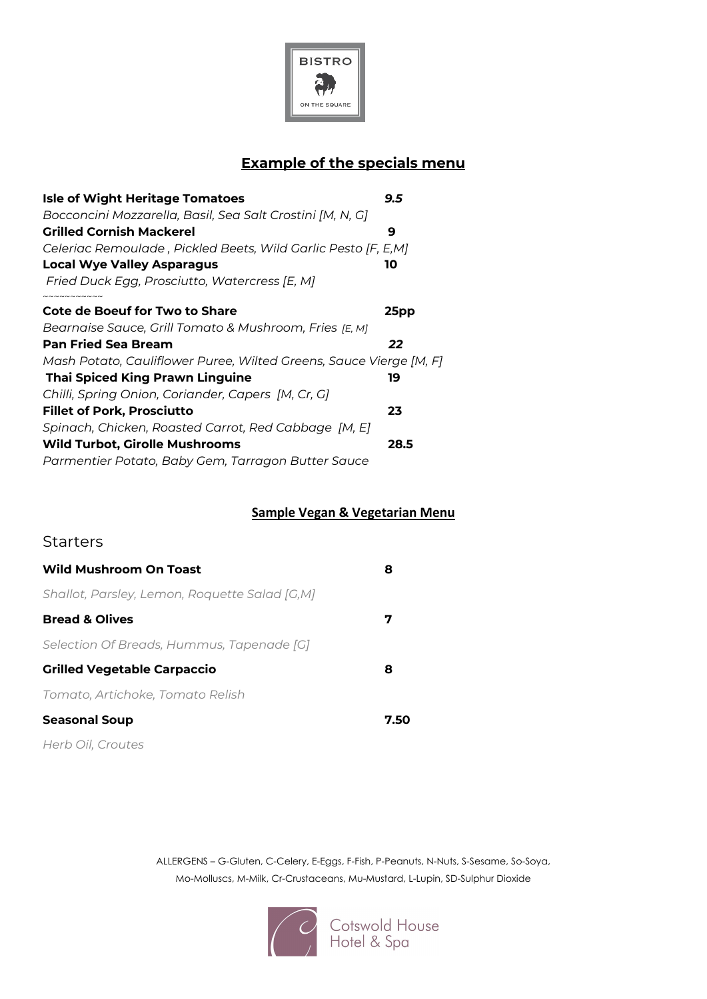

## **Example of the specials menu**

| <b>Isle of Wight Heritage Tomatoes</b>                             | 9.5  |
|--------------------------------------------------------------------|------|
| Bocconcini Mozzarella, Basil, Sea Salt Crostini [M, N, G]          |      |
| Grilled Cornish Mackerel                                           | 9    |
| Celeriac Remoulade , Pickled Beets, Wild Garlic Pesto [F, E,M]     |      |
| Local Wye Valley Asparagus                                         | 10   |
| Fried Duck Egg, Prosciutto, Watercress [E, M]                      |      |
| <b>Cote de Boeuf for Two to Share</b>                              | 25pp |
| Bearnaise Sauce, Grill Tomato & Mushroom, Fries [E, M]             |      |
| <b>Pan Fried Sea Bream</b>                                         | 22   |
| Mash Potato, Cauliflower Puree, Wilted Greens, Sauce Vierge [M, F] |      |
| <b>Thai Spiced King Prawn Linguine</b>                             | 19   |
| Chilli, Spring Onion, Coriander, Capers [M, Cr, G]                 |      |
| <b>Fillet of Pork, Prosciutto</b>                                  | 23   |
| Spinach, Chicken, Roasted Carrot, Red Cabbage [M, E]               |      |
| <b>Wild Turbot, Girolle Mushrooms</b>                              | 28.5 |
| Parmentier Potato, Baby Gem, Tarragon Butter Sauce                 |      |
|                                                                    |      |

#### **Sample Vegan & Vegetarian Menu**

### **Starters**

| Wild Mushroom On Toast                        | 8    |
|-----------------------------------------------|------|
| Shallot, Parsley, Lemon, Roquette Salad [G,M] |      |
| <b>Bread &amp; Olives</b>                     | 7    |
| Selection Of Breads, Hummus, Tapenade [G]     |      |
| <b>Grilled Vegetable Carpaccio</b>            | 8    |
| Tomato, Artichoke, Tomato Relish              |      |
| <b>Seasonal Soup</b>                          | 7.50 |
| Herb Oil, Croutes                             |      |

ALLERGENS – G-Gluten, C-Celery, E-Eggs, F-Fish, P-Peanuts, N-Nuts, S-Sesame, So-Soya, Mo-Molluscs, M-Milk, Cr-Crustaceans, Mu-Mustard, L-Lupin, SD-Sulphur Dioxide